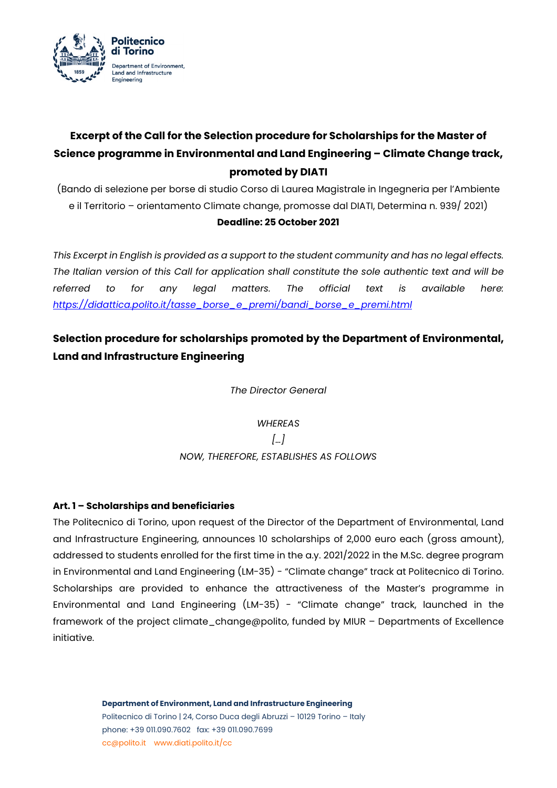

# **Excerpt of the Call for the Selection procedure for Scholarships for the Master of Science programme in Environmental and Land Engineering – Climate Change track, promoted by DIATI**

(Bando di selezione per borse di studio Corso di Laurea Magistrale in Ingegneria per l'Ambiente e il Territorio – orientamento Climate change, promosse dal DIATI, Determina n. 939/ 2021)

#### **Deadline: 25 October 2021**

*This Excerpt in English is provided as a support to the student community and has no legal effects. The Italian version of this Call for application shall constitute the sole authentic text and will be referred to for any legal matters. The official text is available here: [https://didattica.polito.it/tasse\\_borse\\_e\\_premi/bandi\\_borse\\_e\\_premi.html](https://didattica.polito.it/tasse_borse_e_premi/bandi_borse_e_premi.html)*

# **Selection procedure for scholarships promoted by the Department of Environmental, Land and Infrastructure Engineering**

*The Director General*

*WHEREAS […] NOW, THEREFORE, ESTABLISHES AS FOLLOWS*

## **Art. 1 – Scholarships and beneficiaries**

The Politecnico di Torino, upon request of the Director of the Department of Environmental, Land and Infrastructure Engineering, announces 10 scholarships of 2,000 euro each (gross amount), addressed to students enrolled for the first time in the a.y. 2021/2022 in the M.Sc. degree program in Environmental and Land Engineering (LM-35) - "Climate change" track at Politecnico di Torino. Scholarships are provided to enhance the attractiveness of the Master's programme in Environmental and Land Engineering (LM-35) - "Climate change" track, launched in the framework of the project climate\_change@polito, funded by MIUR – Departments of Excellence initiative.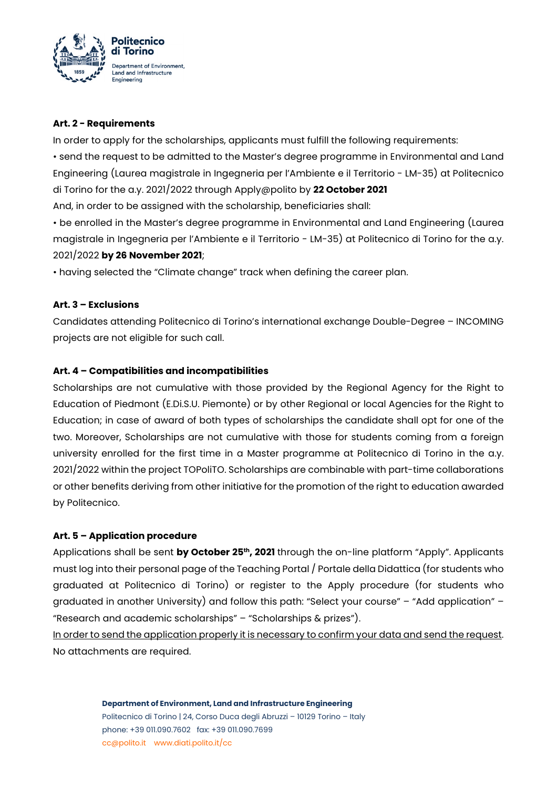

#### **Art. 2 - Requirements**

In order to apply for the scholarships, applicants must fulfill the following requirements: • send the request to be admitted to the Master's degree programme in Environmental and Land Engineering (Laurea magistrale in Ingegneria per l'Ambiente e il Territorio - LM-35) at Politecnico di Torino for the a.y. 2021/2022 through Apply@polito by **22 October 2021** And, in order to be assigned with the scholarship, beneficiaries shall:

• be enrolled in the Master's degree programme in Environmental and Land Engineering (Laurea magistrale in Ingegneria per l'Ambiente e il Territorio - LM-35) at Politecnico di Torino for the a.y. 2021/2022 **by 26 November 2021**;

• having selected the "Climate change" track when defining the career plan.

## **Art. 3 – Exclusions**

Candidates attending Politecnico di Torino's international exchange Double-Degree – INCOMING projects are not eligible for such call.

## **Art. 4 – Compatibilities and incompatibilities**

Scholarships are not cumulative with those provided by the Regional Agency for the Right to Education of Piedmont (E.Di.S.U. Piemonte) or by other Regional or local Agencies for the Right to Education; in case of award of both types of scholarships the candidate shall opt for one of the two. Moreover, Scholarships are not cumulative with those for students coming from a foreign university enrolled for the first time in a Master programme at Politecnico di Torino in the a.y. 2021/2022 within the project TOPoliTO. Scholarships are combinable with part-time collaborations or other benefits deriving from other initiative for the promotion of the right to education awarded by Politecnico.

#### **Art. 5 – Application procedure**

Applications shall be sent by October 25<sup>th</sup>, 2021 through the on-line platform "Apply". Applicants must log into their personal page of the Teaching Portal / Portale della Didattica (for students who graduated at Politecnico di Torino) or register to the Apply procedure (for students who graduated in another University) and follow this path: "Select your course" – "Add application" – "Research and academic scholarships" – "Scholarships & prizes").

In order to send the application properly it is necessary to confirm your data and send the request. No attachments are required.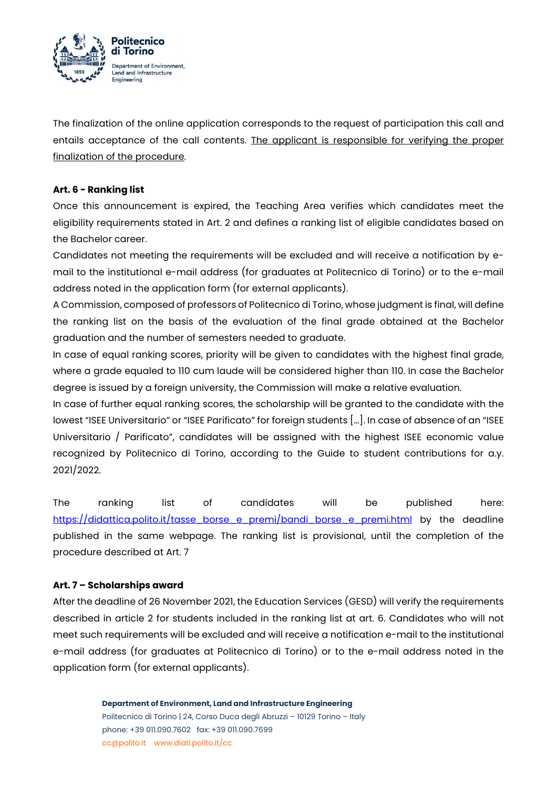

The finalization of the online application corresponds to the request of participation this call and entails acceptance of the call contents. The applicant is responsible for verifying the proper finalization of the procedure.

#### **Art. 6 - Ranking list**

Once this announcement is expired, the Teaching Area verifies which candidates meet the eligibility requirements stated in Art. 2 and defines a ranking list of eligible candidates based on the Bachelor career.

Candidates not meeting the requirements will be excluded and will receive a notification by email to the institutional e-mail address (for graduates at Politecnico di Torino) or to the e-mail address noted in the application form (for external applicants).

A Commission, composed of professors of Politecnico di Torino, whose judgment is final, will define the ranking list on the basis of the evaluation of the final grade obtained at the Bachelor graduation and the number of semesters needed to graduate.

In case of equal ranking scores, priority will be given to candidates with the highest final grade, where a grade equaled to 110 cum laude will be considered higher than 110. In case the Bachelor degree is issued by a foreign university, the Commission will make a relative evaluation.

In case of further equal ranking scores, the scholarship will be granted to the candidate with the lowest "ISEE Universitario" or "ISEE Parificato" for foreign students […]. In case of absence of an "ISEE Universitario / Parificato", candidates will be assigned with the highest ISEE economic value recognized by Politecnico di Torino, according to the Guide to student contributions for a.y. 2021/2022.

The ranking list of candidates will be published here: [https://didattica.polito.it/tasse\\_borse\\_e\\_premi/bandi\\_borse\\_e\\_premi.html](https://didattica.polito.it/tasse_borse_e_premi/bandi_borse_e_premi.html) by the deadline published in the same webpage. The ranking list is provisional, until the completion of the procedure described at Art. 7

#### **Art. 7 – Scholarships award**

After the deadline of 26 November 2021, the Education Services (GESD) will verify the requirements described in article 2 for students included in the ranking list at art. 6. Candidates who will not meet such requirements will be excluded and will receive a notification e-mail to the institutional e-mail address (for graduates at Politecnico di Torino) or to the e-mail address noted in the application form (for external applicants).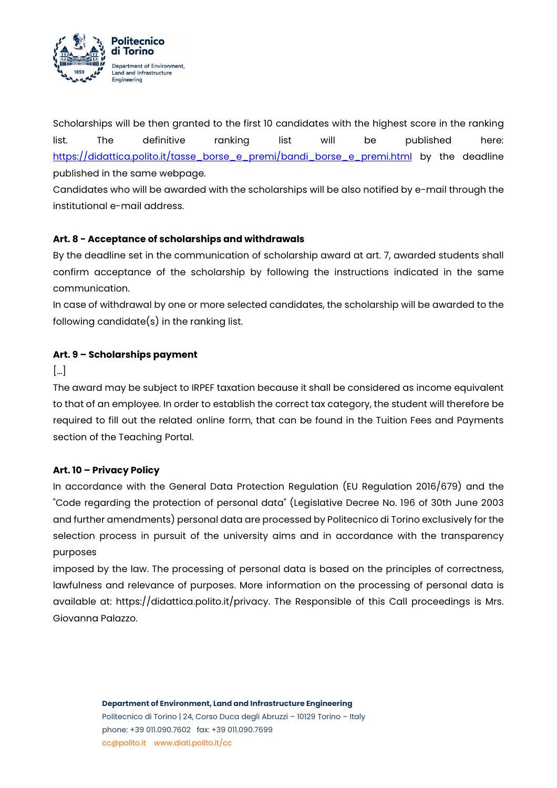

Scholarships will be then granted to the first 10 candidates with the highest score in the ranking list. The definitive ranking list will be published here: [https://didattica.polito.it/tasse\\_borse\\_e\\_premi/bandi\\_borse\\_e\\_premi.html](https://didattica.polito.it/tasse_borse_e_premi/bandi_borse_e_premi.html) by the deadline published in the same webpage.

Candidates who will be awarded with the scholarships will be also notified by e-mail through the institutional e-mail address.

## **Art. 8 - Acceptance of scholarships and withdrawals**

By the deadline set in the communication of scholarship award at art. 7, awarded students shall confirm acceptance of the scholarship by following the instructions indicated in the same communication.

In case of withdrawal by one or more selected candidates, the scholarship will be awarded to the following candidate(s) in the ranking list.

#### **Art. 9 – Scholarships payment**

[…]

The award may be subject to IRPEF taxation because it shall be considered as income equivalent to that of an employee. In order to establish the correct tax category, the student will therefore be required to fill out the related online form, that can be found in the Tuition Fees and Payments section of the Teaching Portal.

#### **Art. 10 – Privacy Policy**

In accordance with the General Data Protection Regulation (EU Regulation 2016/679) and the "Code regarding the protection of personal data" (Legislative Decree No. 196 of 30th June 2003 and further amendments) personal data are processed by Politecnico di Torino exclusively for the selection process in pursuit of the university aims and in accordance with the transparency purposes

imposed by the law. The processing of personal data is based on the principles of correctness, lawfulness and relevance of purposes. More information on the processing of personal data is available at: https://didattica.polito.it/privacy. The Responsible of this Call proceedings is Mrs. Giovanna Palazzo.